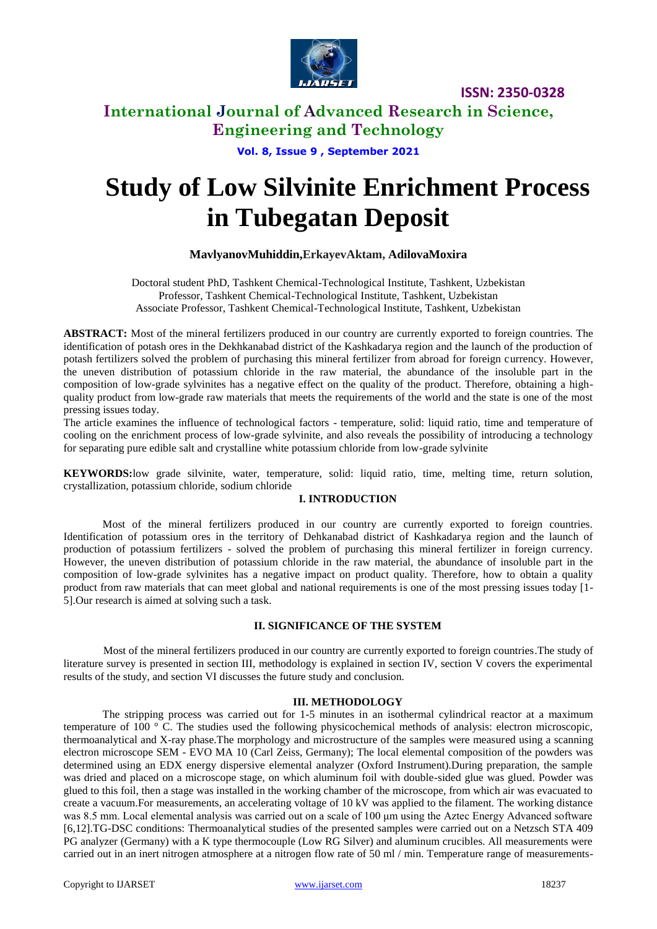

## **International Journal of Advanced Research in Science, Engineering and Technology**

# **Vol. 8, Issue 9 , September 2021**

# **Study of Low Silvinite Enrichment Process in Tubegatan Deposit**

#### **MavlyanovMuhiddin,ErkayevAktam, AdilovaMoxira**

Doctoral student PhD, Tashkent Chemical-Technological Institute, Tashkent, Uzbekistan Professor, Tashkent Chemical-Technological Institute, Tashkent, Uzbekistan Associate Professor, Tashkent Chemical-Technological Institute, Tashkent, Uzbekistan

**ABSTRACT:** Most of the mineral fertilizers produced in our country are currently exported to foreign countries. The identification of potash ores in the Dekhkanabad district of the Kashkadarya region and the launch of the production of potash fertilizers solved the problem of purchasing this mineral fertilizer from abroad for foreign currency. However, the uneven distribution of potassium chloride in the raw material, the abundance of the insoluble part in the composition of low-grade sylvinites has a negative effect on the quality of the product. Therefore, obtaining a highquality product from low-grade raw materials that meets the requirements of the world and the state is one of the most pressing issues today.

The article examines the influence of technological factors - temperature, solid: liquid ratio, time and temperature of cooling on the enrichment process of low-grade sylvinite, and also reveals the possibility of introducing a technology for separating pure edible salt and crystalline white potassium chloride from low-grade sylvinite

**KEYWORDS:**low grade silvinite, water, temperature, solid: liquid ratio, time, melting time, return solution, crystallization, potassium chloride, sodium chloride

#### **I. INTRODUCTION**

Most of the mineral fertilizers produced in our country are currently exported to foreign countries. Identification of potassium ores in the territory of Dehkanabad district of Kashkadarya region and the launch of production of potassium fertilizers - solved the problem of purchasing this mineral fertilizer in foreign currency. However, the uneven distribution of potassium chloride in the raw material, the abundance of insoluble part in the composition of low-grade sylvinites has a negative impact on product quality. Therefore, how to obtain a quality product from raw materials that can meet global and national requirements is one of the most pressing issues today [1- 5].Our research is aimed at solving such a task.

#### **II. SIGNIFICANCE OF THE SYSTEM**

Most of the mineral fertilizers produced in our country are currently exported to foreign countries.The study of literature survey is presented in section III, methodology is explained in section IV, section V covers the experimental results of the study, and section VI discusses the future study and conclusion.

#### **III. METHODOLOGY**

The stripping process was carried out for 1-5 minutes in an isothermal cylindrical reactor at a maximum temperature of 100 ° C. The studies used the following physicochemical methods of analysis: electron microscopic, thermoanalytical and X-ray phase.The morphology and microstructure of the samples were measured using a scanning electron microscope SEM - EVO MA 10 (Carl Zeiss, Germany); The local elemental composition of the powders was determined using an EDX energy dispersive elemental analyzer (Oxford Instrument).During preparation, the sample was dried and placed on a microscope stage, on which aluminum foil with double-sided glue was glued. Powder was glued to this foil, then a stage was installed in the working chamber of the microscope, from which air was evacuated to create a vacuum.For measurements, an accelerating voltage of 10 kV was applied to the filament. The working distance was 8.5 mm. Local elemental analysis was carried out on a scale of 100 µm using the Aztec Energy Advanced software [6,12].TG-DSC conditions: Thermoanalytical studies of the presented samples were carried out on a Netzsch STA 409 PG analyzer (Germany) with a K type thermocouple (Low RG Silver) and aluminum crucibles. All measurements were carried out in an inert nitrogen atmosphere at a nitrogen flow rate of 50 ml / min. Temperature range of measurements-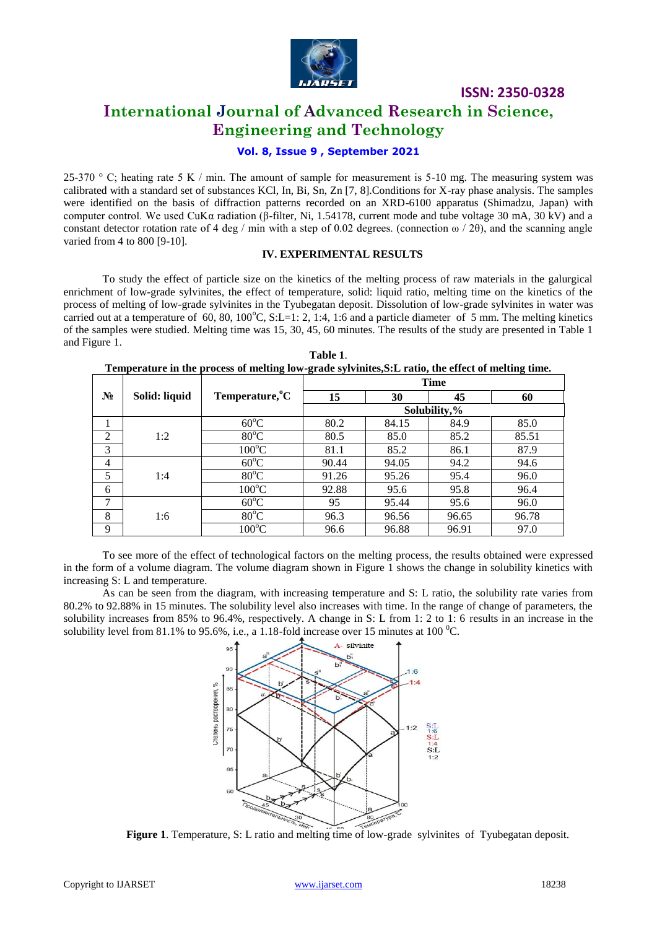

## **International Journal of Advanced Research in Science, Engineering and Technology**

#### **Vol. 8, Issue 9 , September 2021**

25-370  $\degree$  C; heating rate 5 K / min. The amount of sample for measurement is 5-10 mg. The measuring system was calibrated with a standard set of substances KCl, In, Bi, Sn, Zn [7, 8].Conditions for X-ray phase analysis. The samples were identified on the basis of diffraction patterns recorded on an XRD-6100 apparatus (Shimadzu, Japan) with computer control. We used CuKα radiation (β-filter, Ni, 1.54178, current mode and tube voltage 30 mA, 30 kV) and a constant detector rotation rate of 4 deg / min with a step of 0.02 degrees. (connection  $\omega$  / 2 $\theta$ ), and the scanning angle varied from 4 to 800 [9-10].

#### **IV. EXPERIMENTAL RESULTS**

To study the effect of particle size on the kinetics of the melting process of raw materials in the galurgical enrichment of low-grade sylvinites, the effect of temperature, solid: liquid ratio, melting time on the kinetics of the process of melting of low-grade sylvinites in the Tyubegatan deposit. Dissolution of low-grade sylvinites in water was carried out at a temperature of  $60$ ,  $80$ ,  $100^{\circ}$ C, S:L=1: 2, 1:4, 1:6 and a particle diameter of 5 mm. The melting kinetics of the samples were studied. Melting time was 15, 30, 45, 60 minutes. The results of the study are presented in Table 1 and Figure 1. **Table 1**.

| Table 1.                                                                                           |  |
|----------------------------------------------------------------------------------------------------|--|
| Temperature in the process of melting low-grade sylvinites, S:L ratio, the effect of melting time. |  |

|                |               |                             | <b>Time</b>  |       |       |       |  |  |  |  |
|----------------|---------------|-----------------------------|--------------|-------|-------|-------|--|--|--|--|
| $N_2$          | Solid: liquid | Temperature, <sup>o</sup> C | 15           | 30    | 45    | 60    |  |  |  |  |
|                |               |                             | Solubility,% |       |       |       |  |  |  |  |
| 1              |               | $60^{\circ}$ C              | 80.2         | 84.15 | 84.9  | 85.0  |  |  |  |  |
| $\overline{2}$ | 1:2           | $80^{\circ}$ C              | 80.5         | 85.0  | 85.2  | 85.51 |  |  |  |  |
| 3              |               | $100^{\circ}$ C             | 81.1         | 85.2  | 86.1  | 87.9  |  |  |  |  |
| 4              |               | $60^{\circ}$ C              | 90.44        | 94.05 | 94.2  | 94.6  |  |  |  |  |
| 5              | 1:4           | $80^{\circ}$ C              | 91.26        | 95.26 | 95.4  | 96.0  |  |  |  |  |
| 6              |               | $100^{\circ}$ C             | 92.88        | 95.6  | 95.8  | 96.4  |  |  |  |  |
| 7              | 1:6           | $60^{\circ}$ C              | 95           | 95.44 | 95.6  | 96.0  |  |  |  |  |
| 8              |               | $80^{\circ}$ C              | 96.3         | 96.56 | 96.65 | 96.78 |  |  |  |  |
| 9              |               | $100^{\circ}$ C             | 96.6         | 96.88 | 96.91 | 97.0  |  |  |  |  |

To see more of the effect of technological factors on the melting process, the results obtained were expressed in the form of a volume diagram. The volume diagram shown in Figure 1 shows the change in solubility kinetics with increasing S: L and temperature.

As can be seen from the diagram, with increasing temperature and S: L ratio, the solubility rate varies from 80.2% to 92.88% in 15 minutes. The solubility level also increases with time. In the range of change of parameters, the solubility increases from 85% to 96.4%, respectively. A change in S: L from 1: 2 to 1: 6 results in an increase in the solubility level from 81.1% to 95.6%, i.e., a 1.18-fold increase over 15 minutes at 100  $^{\circ}$ C.



**Figure 1**. Temperature, S: L ratio and melting time of low-grade sylvinites of Tyubegatan deposit.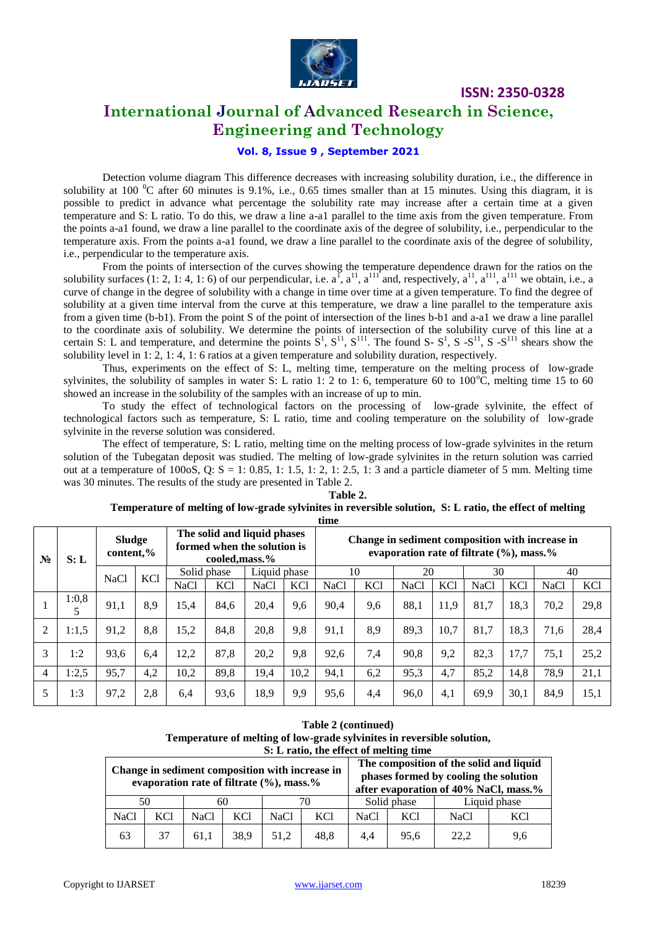

## **International Journal of Advanced Research in Science, Engineering and Technology**

### **Vol. 8, Issue 9 , September 2021**

Detection volume diagram This difference decreases with increasing solubility duration, i.e., the difference in solubility at 100  $\rm{^0C}$  after 60 minutes is 9.1%, i.e., 0.65 times smaller than at 15 minutes. Using this diagram, it is possible to predict in advance what percentage the solubility rate may increase after a certain time at a given temperature and S: L ratio. To do this, we draw a line a-a1 parallel to the time axis from the given temperature. From the points a-a1 found, we draw a line parallel to the coordinate axis of the degree of solubility, i.e., perpendicular to the temperature axis. From the points a-a1 found, we draw a line parallel to the coordinate axis of the degree of solubility, i.e., perpendicular to the temperature axis.

From the points of intersection of the curves showing the temperature dependence drawn for the ratios on the solubility surfaces (1: 2, 1: 4, 1: 6) of our perpendicular, i.e.  $a^{\text{I}}$ ,  $a^{\text{II}}$ ,  $a^{\text{III}}$  and, respectively,  $a^{\text{II}}$ ,  $a^{\text{III}}$ ,  $a^{\text{III}}$ , we obtain, i.e., a curve of change in the degree of solubility with a change in time over time at a given temperature. To find the degree of solubility at a given time interval from the curve at this temperature, we draw a line parallel to the temperature axis from a given time (b-b1). From the point S of the point of intersection of the lines b-b1 and a-a1 we draw a line parallel to the coordinate axis of solubility. We determine the points of intersection of the solubility curve of this line at a certain S: L and temperature, and determine the points  $S^1$ ,  $S^{11}$ ,  $S^{111}$ . The found S-  $S^1$ , S- $S^{11}$ , S- $S^{111}$  shears show the solubility level in 1: 2, 1: 4, 1: 6 ratios at a given temperature and solubility duration, respectively.

Thus, experiments on the effect of S: L, melting time, temperature on the melting process of low-grade sylvinites, the solubility of samples in water S: L ratio 1: 2 to 1: 6, temperature 60 to  $100^{\circ}$ C, melting time 15 to 60 showed an increase in the solubility of the samples with an increase of up to min.

To study the effect of technological factors on the processing of low-grade sylvinite, the effect of technological factors such as temperature, S: L ratio, time and cooling temperature on the solubility of low-grade sylvinite in the reverse solution was considered.

The effect of temperature, S: L ratio, melting time on the melting process of low-grade sylvinites in the return solution of the Tubegatan deposit was studied. The melting of low-grade sylvinites in the return solution was carried out at a temperature of  $100$ oS,  $Q: S = 1: 0.85, 1: 1.5, 1: 2, 1: 2.5, 1: 3$  and a particle diameter of 5 mm. Melting time was 30 minutes. The results of the study are presented in Table 2.

|                | time  |                            |            |                                                                             |            |             |                                                                                                      |      |            |             |            |             |            |             |            |
|----------------|-------|----------------------------|------------|-----------------------------------------------------------------------------|------------|-------------|------------------------------------------------------------------------------------------------------|------|------------|-------------|------------|-------------|------------|-------------|------------|
| $N_2$          | S: L  | <b>Sludge</b><br>content,% |            | The solid and liquid phases<br>formed when the solution is<br>cooled.mass.% |            |             | Change in sediment composition with increase in<br>evaporation rate of filtrate $(\% )$ , mass. $\%$ |      |            |             |            |             |            |             |            |
|                |       | <b>NaCl</b>                |            | Liquid phase<br>Solid phase                                                 |            | 10          |                                                                                                      | 20   |            | 30          |            | 40          |            |             |            |
|                |       |                            | <b>KCl</b> | <b>NaCl</b>                                                                 | <b>KCl</b> | <b>NaCl</b> | <b>KCl</b>                                                                                           | NaCl | <b>KCl</b> | <b>NaCl</b> | <b>KCl</b> | <b>NaCl</b> | <b>KCl</b> | <b>NaCl</b> | <b>KCl</b> |
|                | 1:0,8 | 91,1                       | 8.9        | 15.4                                                                        | 84.6       | 20,4        | 9,6                                                                                                  | 90.4 | 9,6        | 88,1        | 11.9       | 81,7        | 18.3       | 70,2        | 29,8       |
| $\overline{c}$ | 1:1,5 | 91,2                       | 8,8        | 15,2                                                                        | 84.8       | 20,8        | 9,8                                                                                                  | 91.1 | 8,9        | 89,3        | 10,7       | 81,7        | 18,3       | 71,6        | 28,4       |
| 3              | 1:2   | 93,6                       | 6,4        | 12,2                                                                        | 87,8       | 20,2        | 9,8                                                                                                  | 92,6 | 7,4        | 90,8        | 9,2        | 82,3        | 17,7       | 75,1        | 25,2       |
| 4              | 1:2,5 | 95,7                       | 4,2        | 10,2                                                                        | 89,8       | 19,4        | 10,2                                                                                                 | 94,1 | 6,2        | 95,3        | 4,7        | 85,2        | 14,8       | 78,9        | 21,1       |
| 5              | 1:3   | 97,2                       | 2.8        | 6,4                                                                         | 93,6       | 18,9        | 9,9                                                                                                  | 95,6 | 4,4        | 96,0        | 4,1        | 69,9        | 30.1       | 84,9        | 15,1       |

#### **Table 2. Temperature of melting of low-grade sylvinites in reversible solution, S: L ratio, the effect of melting**

**Table 2 (continued) Temperature of melting of low-grade sylvinites in reversible solution, S: L ratio, the effect of melting time**

| Change in sediment composition with increase in<br>evaporation rate of filtrate $(\% )$ , mass. $\%$ |     |      |      |      |             |      | The composition of the solid and liquid<br>phases formed by cooling the solution<br>after evaporation of 40% NaCl, mass.% |      |                 |  |  |
|------------------------------------------------------------------------------------------------------|-----|------|------|------|-------------|------|---------------------------------------------------------------------------------------------------------------------------|------|-----------------|--|--|
| 50<br>60                                                                                             |     |      |      |      | Solid phase |      | Liquid phase                                                                                                              |      |                 |  |  |
| NaCl                                                                                                 | KC1 | NaCl | KCl  | NaCl | <b>KCl</b>  | NaCl | KC <sub>1</sub>                                                                                                           | NaCl | KC <sub>1</sub> |  |  |
| 63                                                                                                   | 37  | 61.1 | 38.9 | 51.2 | 48.8        | 4.4  | 95.6                                                                                                                      | 22,2 | 9,6             |  |  |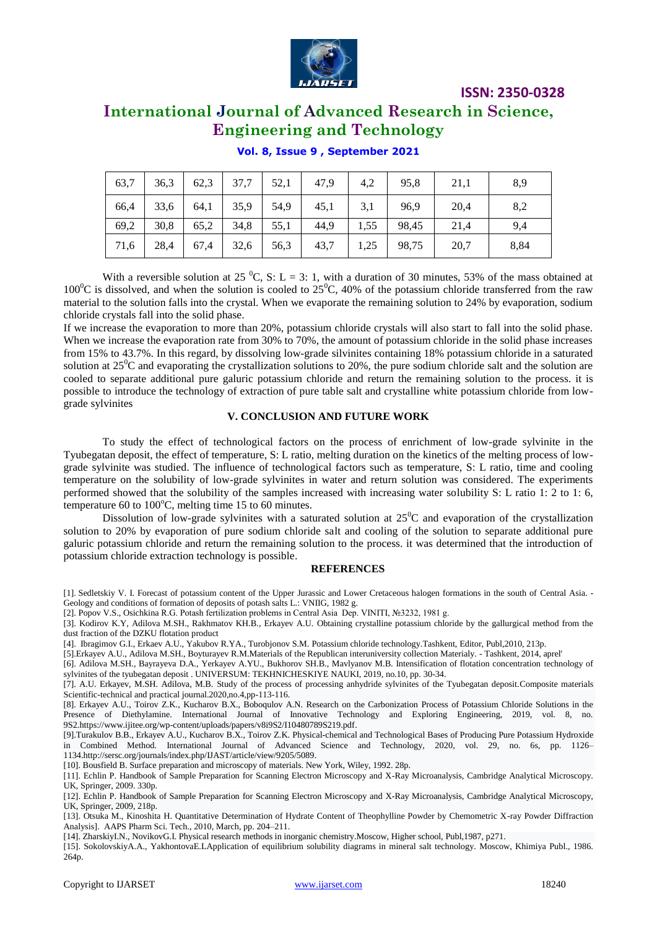

## **International Journal of Advanced Research in Science, Engineering and Technology**

| 63,7 | 36,3 | 62,3 | 37,7 | 52,1 | 47.9 | 4,2  | 95,8  | 21,1 | 8,9  |
|------|------|------|------|------|------|------|-------|------|------|
| 66,4 | 33,6 | 64,1 | 35,9 | 54,9 | 45,1 | 3,1  | 96,9  | 20,4 | 8,2  |
| 69,2 | 30,8 | 65,2 | 34,8 | 55,1 | 44,9 | 1,55 | 98,45 | 21,4 | 9,4  |
| 71,6 | 28,4 | 67,4 | 32,6 | 56,3 | 43,7 | 1,25 | 98,75 | 20,7 | 8,84 |

#### **Vol. 8, Issue 9 , September 2021**

With a reversible solution at 25  $^{\circ}$ C, S: L = 3: 1, with a duration of 30 minutes, 53% of the mass obtained at 100<sup>o</sup>C is dissolved, and when the solution is cooled to  $25^{\circ}$ C, 40% of the potassium chloride transferred from the raw material to the solution falls into the crystal. When we evaporate the remaining solution to 24% by evaporation, sodium chloride crystals fall into the solid phase.

If we increase the evaporation to more than 20%, potassium chloride crystals will also start to fall into the solid phase. When we increase the evaporation rate from 30% to 70%, the amount of potassium chloride in the solid phase increases from 15% to 43.7%. In this regard, by dissolving low-grade silvinites containing 18% potassium chloride in a saturated solution at  $25^{\circ}$ C and evaporating the crystallization solutions to 20%, the pure sodium chloride salt and the solution are cooled to separate additional pure galuric potassium chloride and return the remaining solution to the process. it is possible to introduce the technology of extraction of pure table salt and crystalline white potassium chloride from lowgrade sylvinites

## **V. CONCLUSION AND FUTURE WORK**

To study the effect of technological factors on the process of enrichment of low-grade sylvinite in the Tyubegatan deposit, the effect of temperature, S: L ratio, melting duration on the kinetics of the melting process of lowgrade sylvinite was studied. The influence of technological factors such as temperature, S: L ratio, time and cooling temperature on the solubility of low-grade sylvinites in water and return solution was considered. The experiments performed showed that the solubility of the samples increased with increasing water solubility S: L ratio 1: 2 to 1: 6, temperature 60 to  $100^{\circ}$ C, melting time 15 to 60 minutes.

Dissolution of low-grade sylvinites with a saturated solution at  $25^{\circ}$ C and evaporation of the crystallization solution to 20% by evaporation of pure sodium chloride salt and cooling of the solution to separate additional pure galuric potassium chloride and return the remaining solution to the process. it was determined that the introduction of potassium chloride extraction technology is possible.

#### **REFERENCES**

[1]. Sedletskiy V. I. Forecast of potassium content of the Upper Jurassic and Lower Cretaceous halogen formations in the south of Central Asia. - Geology and conditions of formation of deposits of potash salts L.: VNIIG, 1982 g.

[2]. Popov V.S., Osichkina R.G. Potash fertilization problems in Central Asia Dep. VINITI, №3232, 1981 g.

- [3]. Kodirov K.Y, Adilova M.SH., Rakhmatov KH.B., Erkayev A.U. Obtaining crystalline potassium chloride by the gallurgical method from the dust fraction of the DZKU flotation product
- [4]. Ibragimov G.I., Erkaev A.U., Yakubov R.YA., Turobjonov S.M. Potassium chloride technology.Tashkent, Editor, Publ,2010, 213p.
- [5].Erkayev A.U., Adilova M.SH., Boyturayev R.M.Materials of the Republican interuniversity collection Materialy. Tashkent, 2014, aprel' [6]. Adilova M.SH., Bayrayeva D.A., Yerkayev A.YU., Bukhorov SH.B., Mavlyanov M.B. Intensification of flotation concentration technology of sylvinites of the tyubegatan deposit . UNIVERSUM: TEKHNICHESKIYE NAUKI, 2019, no.10, pp. 30-34.

[7]. A.U. Erkayev, M.SH. Adilova, M.B. Study of the process of processing anhydride sylvinites of the Tyubegatan deposit.Composite materials Scientific-technical and practical journal.2020,no.4,pp-113-116.

[8]. Erkayev A.U., Toirov Z.K., Kucharov B.X., Boboqulov A.N. Research on the Carbonization Process of Potassium Chloride Solutions in the Presence of Diethylamine. International Journal of Innovative Technology and Exploring Engineering, 2019, vol. 8, no. 9S[2.https://www.ijitee.org/wp-content/uploads/papers/v8i9S2/I10480789S219.pdf.](https://www.ijitee.org/wp-content/uploads/papers/v8i9S2/I10480789S219.pdf) 

[9].Turakulov B.B., Erkayev A.U., Kucharov B.X., Toirov Z.K. Physical-chemical and Technological Bases of Producing Pure Potassium Hydroxide in Combined Method. International Journal of Advanced Science and Technology, 2020, vol. 29, no. 6s, pp. 1126– 1134.http://sersc.org/journals/index.php/IJAST/article/view/9205/5089.

[10]. Bousfield B. Surface preparation and microscopy of materials. New York, Wiley, 1992. 28p.

[11]. Echlin P. Handbook of Sample Preparation for Scanning Electron Microscopy and X-Ray Microanalysis, Cambridge Analytical Microscopy. UK, Springer, 2009. 330p.

[12]. Echlin P. Handbook of Sample Preparation for Scanning Electron Microscopy and X-Ray Microanalysis, Cambridge Analytical Microscopy, UK, Springer, 2009, 218p.

[13]. Otsuka M., Kinoshita H. Quantitative Determination of Hydrate Content of Theophylline Powder by Chemometric X-ray Powder Diffraction Analysis]. AAPS Pharm Sci. Tech., 2010, March, pp. 204–211.

[14]. ZharskiyI.N., NovikovG.I. Physical research methods in inorganic chemistry.Moscow, Higher school, Publ,1987, p271.

[15]. SokolovskiyA.A., YakhontovaE.LApplication of equilibrium solubility diagrams in mineral salt technology. Moscow, Khimiya Publ., 1986. 264p.